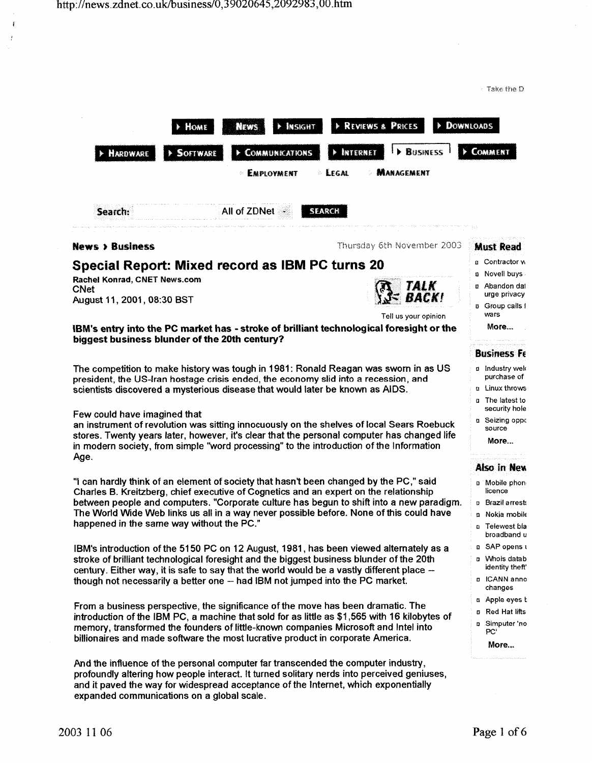Take the D

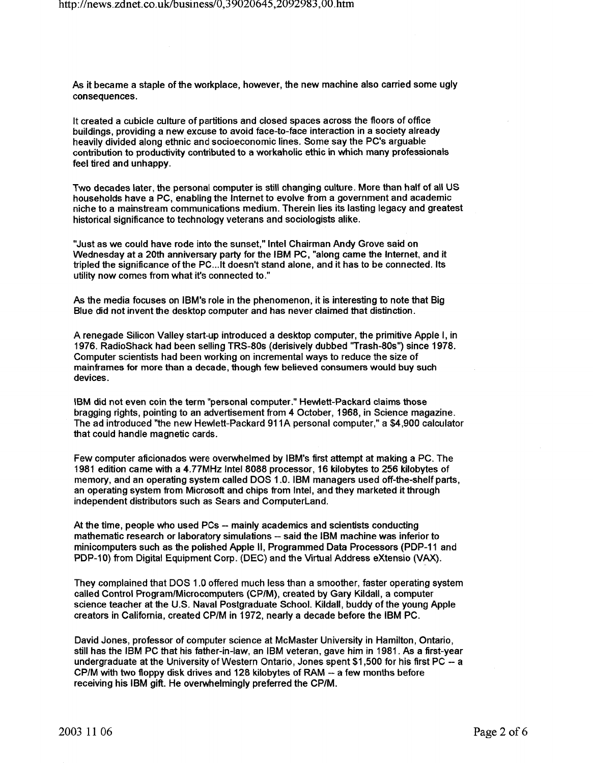As it became a staple of the workplace, however, the new machine also carried some ugly consequences.

It created a cubicle culture of partitions and closed spaces across the floors of office buildings, providing a new excuse to avoid face-to-face interaction in a society already heavily divided along ethnic and socioeconomic lines. Some say the PC's arguable contribution to productivity contributed to a workaholic ethic in which many professionals feel tired and unhappy.

Two decades later, the personal computer is still changing culture. More than half of all US households have a PC, enabling the Internet to evolve from a government and academic niche to a mainstream communications medium. Therein lies its lasting legacy and greatest historical significance to technology veterans and sociologists alike.

"Just as we could have rode into the sunset," Intel Chairman Andy Grove said on Wednesday at a 20th anniversary party for the IBM PC, "along came the Internet, and it tripled the significance of the PC... It doesn't stand alone, and it has to be connected. Its utility now comes from what it's connected to."

As the media focuses on IBM's role in the phenomenon, it is interesting to note that Big Blue did not invent the desktop computer and has never claimed that distinction.

A renegade Silicon Valley start-up introduced a desktop computer, the primitive Apple I, in 1976. RadioShack had been selling TRS-80s (derisively dubbed ''Trash-80s") since 1978. Computer scientists had been working on incremental ways to reduce the size of mainframes for more than a decade, though few believed consumers would buy such devices.

IBM did not even coin the term "personal computer." Hewlett-Packard claims those bragging rights, pointing to an advertisement from 4 October, 1968, in Science magazine. The ad introduced "the new Hewlett-Packard 911A personal computer," a \$4,900 calculator that could handle magnetic cards.

Few computer aficionados were overwhelmed by IBM's first attempt at making a PC. The 1981 edition came with a 4.77MHz Intel 8088 processor, 16 kilobytes to 256 kilobytes of memory, and an operating system called DOS 1.0. IBM managers used off-the-shelf parts, an operating system from Microsoft and chips from Intel, and they marketed it through independent distributors such as Sears and Computerland.

At the time, people who used PCs- mainly academics and scientists conducting mathematic research or laboratory simulations- said the IBM machine was inferior to minicomputers such as the polished Apple II, Programmed Data Processors (PDP-11 and PDP-10) from Digital Equipment Corp. (DEC) and the Virtual Address eXtensio (VAX}.

They complained that DOS 1 .0 offered much less than a smoother, faster operating system called Control Program/Microcomputers (CP/M}, created by Gary Kildall, a computer science teacher at the U.S. Naval Postgraduate School. Kildall, buddy ofthe young Apple creators in California, created CP/M in 1972, nearly a decade before the IBM PC.

David Jones, professor of computer science at McMaster University in Hamilton, Ontario, still has the IBM PC that his father-in-law, an IBM veteran, gave him in 1981. As a first-year undergraduate at the University of Western Ontario, Jones spent \$1 ,500 for his first PC -- <sup>a</sup> CP/M with two floppy disk drives and 128 kilobytes of RAM-- a few months before receiving his IBM gift. He overwhelmingly preferred the CP/M.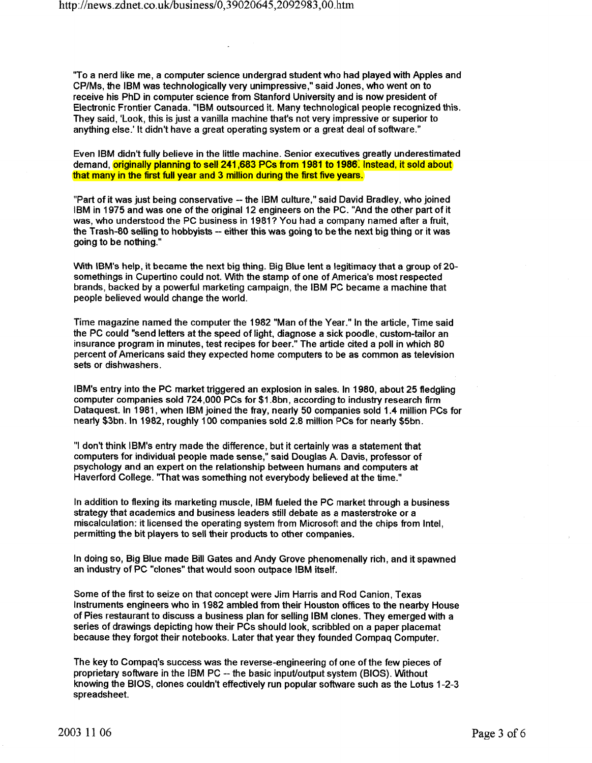"To a nerd like me, a computer science undergrad student who had played with Apples and CP/Ms, the IBM was technologically very unimpressive," said Jones, who went on to receive his PhD in computer science from Stanford University and is now president of Electronic Frontier Canada. "IBM outsourced it. Many technological people recognized this. They said, 'Look, this is just a vanilla machine that's not very impressive or superior to anything else.' It didn't have a great operating system or a great deal of software."

Even IBM didn't fully believe in the little machine. Senior executives greatly underestimated demand, originally planning to sell 241,683 PCs from 1981 to 1986. Instead, it sold about that many in the first full year and 3 million during the first five years.

"Part of it was just being conservative -- the IBM culture," said David Bradley, who joined IBM in 1975 and was one of the original 12 engineers on the PC. "And the other part of it was, who understood the PC business in 1981? You had a company named after a fruit, the Trash-80 selling to hobbyists -- either this was going to be the next big thing or it was going to be nothing."

With IBM's help, it became the next big thing. Big Blue lent a legitimacy that a group of 20 somethings in Cupertino could not. With the stamp of one of America's most respected brands, backed by a powerful marketing campaign, the IBM PC became a machine that people believed would change the world.

Time magazine named the computer the 1982 "Man of the Year." In the article, Time said the PC could "send letters at the speed of light, diagnose a sick poodle, custom-tailor an insurance program in minutes, test recipes for beer." The article cited a poll in which 80 percent of Americans said they expected home computers to be as common as television sets or dishwashers.

IBM's entry into the PC market triggered an explosion in sales. In 1980, about 25 fledgling computer companies sold 724,000 PCs for \$1.8bn, according to industry research firm Dataquest. In 1981, when IBM joined the fray, nearly 50 companies sold 1.4 million PCs for nearly \$3bn. In 1982, roughly 100 companies sold 2.8 million PCs for nearly \$5bn.

"I don't think IBM's entry made the difference, but it certainly was a statement that computers for individual people made sense," said Douglas A. Davis, professor of psychology and an expert on the relationship between humans and computers at Haverford College. "That was something not everybody believed at the time."

In addition to flexing its marketing muscle, IBM fueled the PC market through a business strategy that academics and business leaders still debate as a masterstroke or a mis.calculation: it licensed the operating system from Microsoft and the chips from Intel, permitting the bit players to sell their products to other companies.

In doing so, Big Blue made Bill Gates and Andy Grove phenomenally rich, and it spawned an industry of PC "clones" that would soon outpace IBM itself.

Some of the first to seize on that concept were Jim Harris and Rod Canion, Texas Instruments engineers who in 1982 ambled from their Houston offices to the nearby House of Pies restaurant to discuss a business plan for selling IBM clones. They emerged with a series of drawings depicting how their PCs should look, scribbled on a paper placemat because they forgot their notebooks. Later that year they founded Compaq Computer.

The key to Compaq's success was the reverse-engineering of one of the few pieces of proprietary software in the IBM PC -- the basic input/output system (BIOS). Without knowing the BIOS, clones couldn't effectively run popular software such as the Lotus 1-2-3 spreadsheet.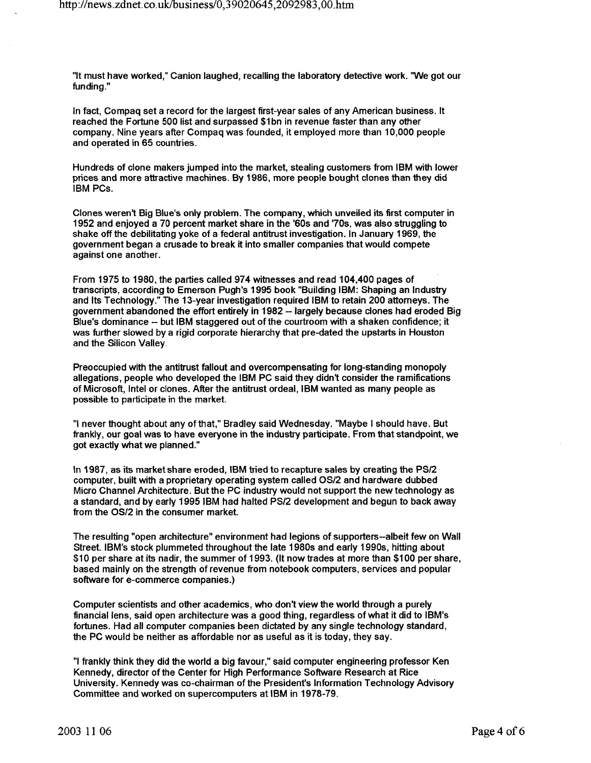"It must have worked," Canion laughed, recalling the laboratory detective work. 'We got our funding."

In fact, Compaq set a record for the largest first-year sales of any American business. It reached the Fortune 500 list and surpassed \$1bn in revenue faster than any other company. Nine years after Compaq was founded, it employed more than 10,000 people and operated in 65 countries.

Hundreds of clone makers jumped into the market, stealing customers from IBM with lower prices and more attractive machines. By 1986, more people bought clones than they did IBM PCs.

Clones weren't Big Blue's only problem. The company, which unveiled its first computer in 1952 and enjoyed a 70 percent market share in the '60s and '70s, was also struggling to shake off the debilitating yoke of a federal antitrust investigation. In January 1969, the government began a crusade to break it into smaller companies that would compete against one another.

From 1975 to 1980, the parties called 974 witnesses and read 104,400 pages of transcripts, according to Emerson Pugh's 1995 book "Building IBM: Shaping an Industry and Its Technology." The 13-year investigation required IBM to retain 200 attorneys. The government abandoned the effort entirely in 1982 - largely because clones had eroded Big Blue's dominance-- but IBM staggered out of the courtroom with a shaken confidence; it was further slowed by a rigid corporate hierarchy that pre-dated the upstarts in Houston and the Silicon Valley.

Preoccupied with the antitrust fallout and overcompensating for long-standing monopoly allegations, people who developed the IBM PC said they didn't consider the ramifications of Microsoft, Intel or clones. After the antitrust ordeal, IBM wanted as many people as possible to participate in the market.

"I never thought about any of that," Bradley said Wednesday. "Maybe I should have. But frankly, our goal was to have everyone in the industry participate. From that standpoint, we got exactly what we planned."

In 1987, as its market share eroded, IBM tried to recapture sales by creating the PS/2 computer, built with a proprietary operating system called OS/2 and hardware dubbed Micro Channel Architecture. But the PC industry would not support the new technology as a standard, and by early 19951BM had halted PS/2 development and begun to back away from the OS/2 in the consumer market.

The resulting "open architecture" environment had legions of supporters-albeit few on Wall Street. IBM's stock plummeted throughout the late 1980s and early 1990s, hitting about \$10 per share at its nadir, the summer of 1993. (It now trades at more than \$1 00 per share, based mainly on the strength of revenue from notebook computers, services and popular software for e-commerce companies.)

Computer scientists and other academics, who don't view the world through a purely financial lens, said open architecture was a good thing, regardless of what it did to IBM's fortunes. Had all computer companies been dictated by any single technology standard, the PC would be neither as affordable nor as useful as it is today, they say.

"I frankly think they did the world a big favour," said computer engineering professor Ken Kennedy, director of the Center for High Performance Software Research at Rice University. Kennedy was co-chairman of the Presidenfs Information Technology Advisory Committee and worked on supercomputers at IBM in 1978-79.